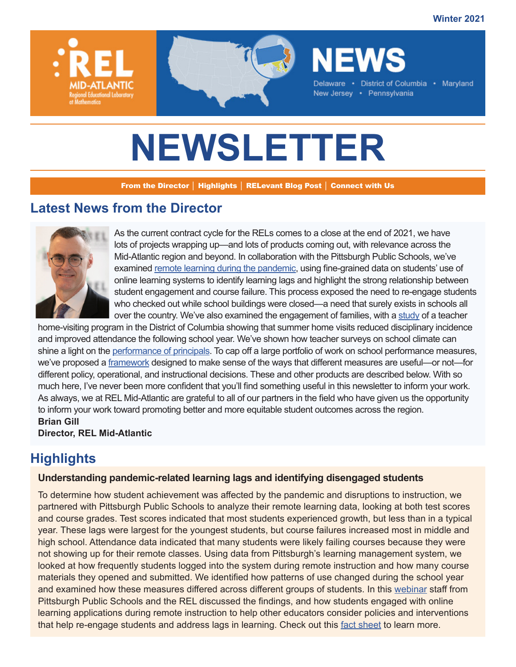**Winter 2021**



# **NEWSLETTER**

From the Director │ Highlights │ RELevant Blog Post │ Connect with Us

# **Latest News from the Director**



As the current contract cycle for the RELs comes to a close at the end of 2021, we have lots of projects wrapping up—and lots of products coming out, with relevance across the Mid-Atlantic region and beyond. In collaboration with the Pittsburgh Public Schools, we've examined [remote learning during the pandemic](https://www.youtube.com/watch?v=p5XpVXEM2h8), using fine-grained data on students' use of online learning systems to identify learning lags and highlight the strong relationship between student engagement and course failure. This process exposed the need to re-engage students who checked out while school buildings were closed—a need that surely exists in schools all over the country. We've also examined the engagement of families, with a [study](https://ies.ed.gov/ncee/edlabs/projects/project.asp?projectID=4597) of a teacher

home-visiting program in the District of Columbia showing that summer home visits reduced disciplinary incidence and improved attendance the following school year. We've shown how teacher surveys on school climate can shine a light on the [performance of principals](https://event.on24.com/wcc/r/3500147/5E613CA36303D013B1A2449EECA0EB3B). To cap off a large portfolio of work on school performance measures, we've proposed a [framework](https://ies.ed.gov/ncee/edlabs/regions/midatlantic/app/Blog/Post/1051) designed to make sense of the ways that different measures are useful—or not—for different policy, operational, and instructional decisions. These and other products are described below. With so much here, I've never been more confident that you'll find something useful in this newsletter to inform your work. As always, we at REL Mid-Atlantic are grateful to all of our partners in the field who have given us the opportunity to inform your work toward promoting better and more equitable student outcomes across the region. **Brian Gill**

**Director, REL Mid-Atlantic**

# **Highlights**

#### **Understanding pandemic-related learning lags and identifying disengaged students**

To determine how student achievement was affected by the pandemic and disruptions to instruction, we partnered with Pittsburgh Public Schools to analyze their remote learning data, looking at both test scores and course grades. Test scores indicated that most students experienced growth, but less than in a typical year. These lags were largest for the youngest students, but course failures increased most in middle and high school. Attendance data indicated that many students were likely failing courses because they were not showing up for their remote classes. Using data from Pittsburgh's learning management system, we looked at how frequently students logged into the system during remote instruction and how many course materials they opened and submitted. We identified how patterns of use changed during the school year and examined how these measures differed across different groups of students. In this [webinar](https://youtu.be/p5XpVXEM2h8) staff from Pittsburgh Public Schools and the REL discussed the findings, and how students engaged with online learning applications during remote instruction to help other educators consider policies and interventions that help re-engage students and address lags in learning. Check out this [fact sheet](https://ies.ed.gov/ncee/edlabs/regions/midatlantic/app/Docs/Infographics/RELMA_TestScoresGradesStudentEngagementCOVID-19_508c.pdf) to learn more.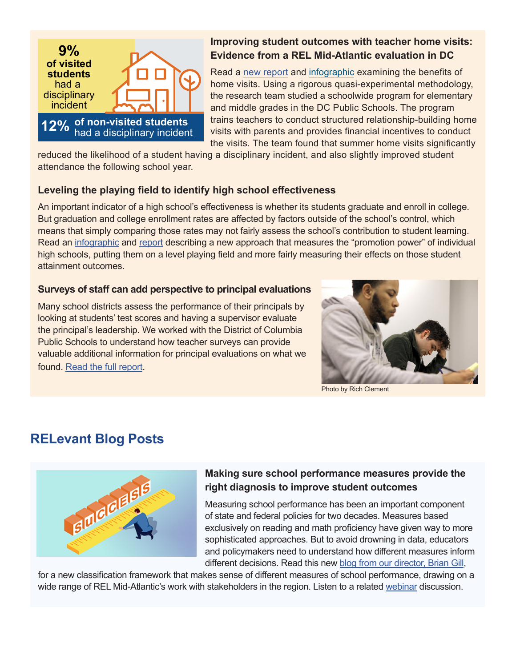

## **Improving student outcomes with teacher home visits: Evidence from a REL Mid-Atlantic evaluation in DC**

Read a [new report](https://ies.ed.gov/ncee/edlabs/projects/project.asp?projectID=4597) and [infographic](https://ies.ed.gov/ncee/edlabs/regions/midatlantic/app/Docs/Infographics/RELMA_home_visits_infographic_508c.pdf) examining the benefits of home visits. Using a rigorous quasi-experimental methodology, the research team studied a schoolwide program for elementary and middle grades in the DC Public Schools. The program trains teachers to conduct structured relationship-building home visits with parents and provides financial incentives to conduct the visits. The team found that summer home visits significantly

reduced the likelihood of a student having a disciplinary incident, and also slightly improved student attendance the following school year.

## **Leveling the playing field to identify high school effectiveness**

An important indicator of a high school's effectiveness is whether its students graduate and enroll in college. But graduation and college enrollment rates are affected by factors outside of the school's control, which means that simply comparing those rates may not fairly assess the school's contribution to student learning. Read an [infographic](https://ies.ed.gov/ncee/edlabs/regions/midatlantic/app/Docs/Infographics/RELMA_OSSEPromotionPower_Infographic.pdf) and [report](https://ies.ed.gov/ncee/edlabs/projects/project.asp?projectID=5684) describing a new approach that measures the "promotion power" of individual high schools, putting them on a level playing field and more fairly measuring their effects on those student attainment outcomes.

#### **Surveys of staff can add perspective to principal evaluations**

Many school districts assess the performance of their principals by looking at students' test scores and having a supervisor evaluate the principal's leadership. We worked with the District of Columbia Public Schools to understand how teacher surveys can provide valuable additional information for principal evaluations on what we found. [Read the full report](https://ies.ed.gov/ncee/edlabs/projects/project.asp?projectID=6705).



Photo by Rich Clement

# **RELevant Blog Posts**



## **[Making sure school performance measures provide the](https://ies.ed.gov/ncee/edlabs/regions/midatlantic/app/Blog/Post/1051)  [right diagnosis to improve student outcomes](https://ies.ed.gov/ncee/edlabs/regions/midatlantic/app/Blog/Post/1051)**

Measuring school performance has been an important component of state and federal policies for two decades. Measures based exclusively on reading and math proficiency have given way to more sophisticated approaches. But to avoid drowning in data, educators and policymakers need to understand how different measures inform different decisions. Read this new [blog from our director, Brian Gill](https://ies.ed.gov/ncee/edlabs/regions/midatlantic/app/Blog/Post/1051),

for a new classification framework that makes sense of different measures of school performance, drawing on a wide range of REL Mid-Atlantic's work with stakeholders in the region. Listen to a related [webinar](https://nam12.safelinks.protection.outlook.com/?url=https%3A%2F%2Fwww.youtube.com%2Fwatch%3Fv%3Dbqm40HNtwlU&data=04%7C01%7CSVienneau%40mathematica-mpr.com%7Cf707cca2549046b8080408d9c0be28bc%7C13af8d650b4b4c0fa446a427419abfd6%7C0%7C0%7C637752745223366041%7CUnknown%7CTWFpbGZsb3d8eyJWIjoiMC4wLjAwMDAiLCJQIjoiV2luMzIiLCJBTiI6Ik1haWwiLCJXVCI6Mn0%3D%7C3000&sdata=X01FUX%2FR3iuWjeOKELY%2B4QavGRQWc3l9srWS7K4n%2BP0%3D&reserved=0) discussion.